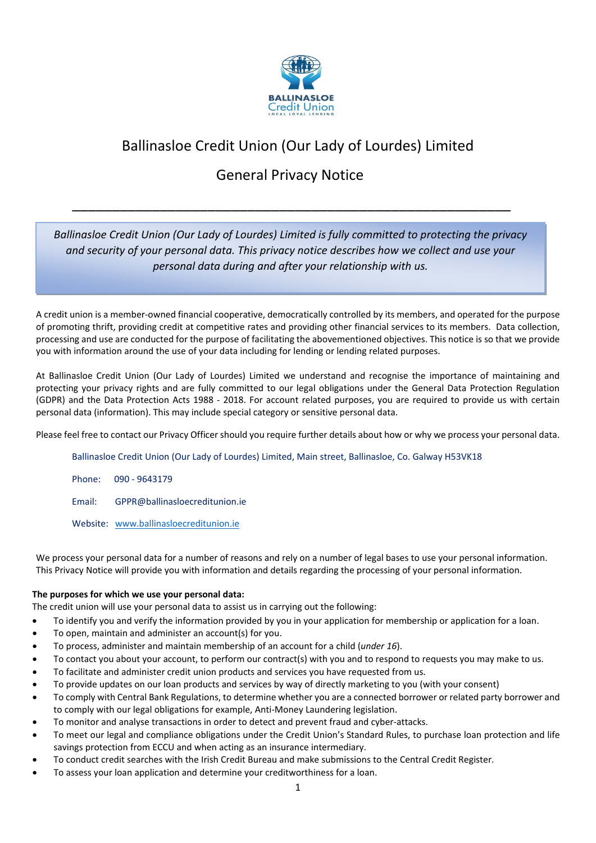

# Ballinasloe Credit Union (Our Lady of Lourdes) Limited

# General Privacy Notice

\_\_\_\_\_\_\_\_\_\_\_\_\_\_\_\_\_\_\_\_\_\_\_\_\_\_\_\_\_\_\_\_\_\_\_\_\_\_\_\_\_\_\_\_\_\_\_\_\_\_\_\_\_\_\_

## *Ballinasloe Credit Union (Our Lady of Lourdes) Limited is fully committed to protecting the privacy and security of your personal data. This privacy notice describes how we collect and use your personal data during and after your relationship with us.*

A credit union is a member-owned financial cooperative, democratically controlled by its members, and operated for the purpose of promoting thrift, providing credit at competitive rates and providing other financial services to its members. Data collection, processing and use are conducted for the purpose of facilitating the abovementioned objectives. This notice is so that we provide you with information around the use of your data including for lending or lending related purposes.

At Ballinasloe Credit Union (Our Lady of Lourdes) Limited we understand and recognise the importance of maintaining and protecting your privacy rights and are fully committed to our legal obligations under the General Data Protection Regulation (GDPR) and the Data Protection Acts 1988 - 2018. For account related purposes, you are required to provide us with certain personal data (information). This may include special category or sensitive personal data.

Please feel free to contact our Privacy Officer should you require further details about how or why we process your personal data.

Ballinasloe Credit Union (Our Lady of Lourdes) Limited, Main street, Ballinasloe, Co. Galway H53VK18

Phone: 090 - 9643179

Email: GPPR@ballinasloecreditunion.ie

Website: [www.ballinasloecreditunion.ie](http://www.ballinasloecreditunion.ie/)

We process your personal data for a number of reasons and rely on a number of legal bases to use your personal information. This Privacy Notice will provide you with information and details regarding the processing of your personal information.

## **The purposes for which we use your personal data:**

The credit union will use your personal data to assist us in carrying out the following:

- To identify you and verify the information provided by you in your application for membership or application for a loan.
- To open, maintain and administer an account(s) for you.
- To process, administer and maintain membership of an account for a child (*under 16*).
- To contact you about your account, to perform our contract(s) with you and to respond to requests you may make to us.
- To facilitate and administer credit union products and services you have requested from us.
- To provide updates on our loan products and services by way of directly marketing to you (with your consent)
- To comply with Central Bank Regulations, to determine whether you are a connected borrower or related party borrower and to comply with our legal obligations for example, Anti-Money Laundering legislation.
- To monitor and analyse transactions in order to detect and prevent fraud and cyber-attacks.
- To meet our legal and compliance obligations under the Credit Union's Standard Rules, to purchase loan protection and life savings protection from ECCU and when acting as an insurance intermediary.
- To conduct credit searches with the Irish Credit Bureau and make submissions to the Central Credit Register.
- To assess your loan application and determine your creditworthiness for a loan.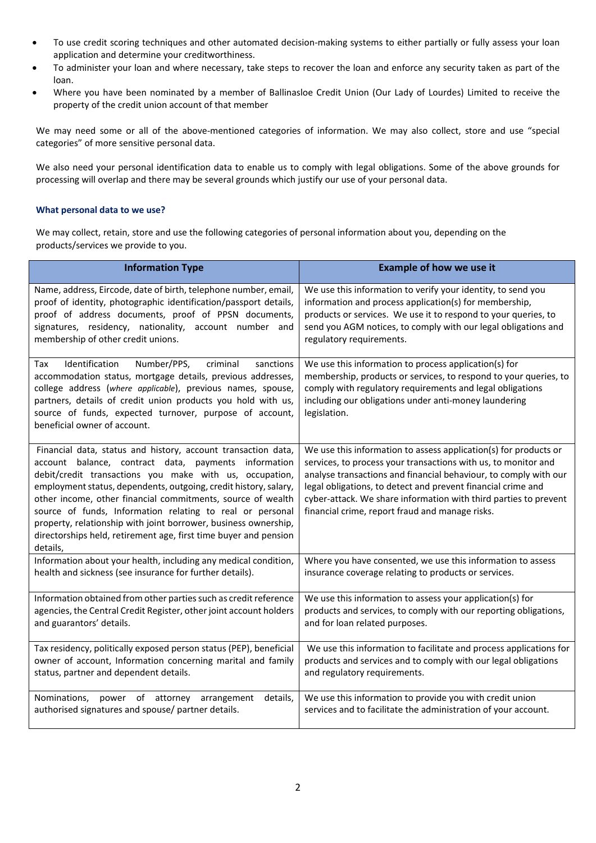- To use credit scoring techniques and other automated decision-making systems to either partially or fully assess your loan application and determine your creditworthiness.
- To administer your loan and where necessary, take steps to recover the loan and enforce any security taken as part of the loan.
- Where you have been nominated by a member of Ballinasloe Credit Union (Our Lady of Lourdes) Limited to receive the property of the credit union account of that member

We may need some or all of the above-mentioned categories of information. We may also collect, store and use "special categories" of more sensitive personal data.

We also need your personal identification data to enable us to comply with legal obligations. Some of the above grounds for processing will overlap and there may be several grounds which justify our use of your personal data.

## **What personal data to we use?**

We may collect, retain, store and use the following categories of personal information about you, depending on the products/services we provide to you.

| <b>Information Type</b>                                                                                                                                                                                                                                                                                                                                                                                                                                                                                                             | <b>Example of how we use it</b>                                                                                                                                                                                                                                                                                                                                                               |
|-------------------------------------------------------------------------------------------------------------------------------------------------------------------------------------------------------------------------------------------------------------------------------------------------------------------------------------------------------------------------------------------------------------------------------------------------------------------------------------------------------------------------------------|-----------------------------------------------------------------------------------------------------------------------------------------------------------------------------------------------------------------------------------------------------------------------------------------------------------------------------------------------------------------------------------------------|
| Name, address, Eircode, date of birth, telephone number, email,                                                                                                                                                                                                                                                                                                                                                                                                                                                                     | We use this information to verify your identity, to send you                                                                                                                                                                                                                                                                                                                                  |
| proof of identity, photographic identification/passport details,                                                                                                                                                                                                                                                                                                                                                                                                                                                                    | information and process application(s) for membership,                                                                                                                                                                                                                                                                                                                                        |
| proof of address documents, proof of PPSN documents,                                                                                                                                                                                                                                                                                                                                                                                                                                                                                | products or services. We use it to respond to your queries, to                                                                                                                                                                                                                                                                                                                                |
| signatures, residency, nationality, account number and                                                                                                                                                                                                                                                                                                                                                                                                                                                                              | send you AGM notices, to comply with our legal obligations and                                                                                                                                                                                                                                                                                                                                |
| membership of other credit unions.                                                                                                                                                                                                                                                                                                                                                                                                                                                                                                  | regulatory requirements.                                                                                                                                                                                                                                                                                                                                                                      |
| Identification<br>Number/PPS,<br>criminal<br>sanctions<br>Tax<br>accommodation status, mortgage details, previous addresses,<br>college address (where applicable), previous names, spouse,<br>partners, details of credit union products you hold with us,<br>source of funds, expected turnover, purpose of account,<br>beneficial owner of account.                                                                                                                                                                              | We use this information to process application(s) for<br>membership, products or services, to respond to your queries, to<br>comply with regulatory requirements and legal obligations<br>including our obligations under anti-money laundering<br>legislation.                                                                                                                               |
| Financial data, status and history, account transaction data,<br>account balance, contract data, payments information<br>debit/credit transactions you make with us, occupation,<br>employment status, dependents, outgoing, credit history, salary,<br>other income, other financial commitments, source of wealth<br>source of funds, Information relating to real or personal<br>property, relationship with joint borrower, business ownership,<br>directorships held, retirement age, first time buyer and pension<br>details, | We use this information to assess application(s) for products or<br>services, to process your transactions with us, to monitor and<br>analyse transactions and financial behaviour, to comply with our<br>legal obligations, to detect and prevent financial crime and<br>cyber-attack. We share information with third parties to prevent<br>financial crime, report fraud and manage risks. |
| Information about your health, including any medical condition,                                                                                                                                                                                                                                                                                                                                                                                                                                                                     | Where you have consented, we use this information to assess                                                                                                                                                                                                                                                                                                                                   |
| health and sickness (see insurance for further details).                                                                                                                                                                                                                                                                                                                                                                                                                                                                            | insurance coverage relating to products or services.                                                                                                                                                                                                                                                                                                                                          |
| Information obtained from other parties such as credit reference                                                                                                                                                                                                                                                                                                                                                                                                                                                                    | We use this information to assess your application(s) for                                                                                                                                                                                                                                                                                                                                     |
| agencies, the Central Credit Register, other joint account holders                                                                                                                                                                                                                                                                                                                                                                                                                                                                  | products and services, to comply with our reporting obligations,                                                                                                                                                                                                                                                                                                                              |
| and guarantors' details.                                                                                                                                                                                                                                                                                                                                                                                                                                                                                                            | and for loan related purposes.                                                                                                                                                                                                                                                                                                                                                                |
| Tax residency, politically exposed person status (PEP), beneficial                                                                                                                                                                                                                                                                                                                                                                                                                                                                  | We use this information to facilitate and process applications for                                                                                                                                                                                                                                                                                                                            |
| owner of account, Information concerning marital and family                                                                                                                                                                                                                                                                                                                                                                                                                                                                         | products and services and to comply with our legal obligations                                                                                                                                                                                                                                                                                                                                |
| status, partner and dependent details.                                                                                                                                                                                                                                                                                                                                                                                                                                                                                              | and regulatory requirements.                                                                                                                                                                                                                                                                                                                                                                  |
| Nominations,<br>power<br>of attorney<br>arrangement<br>details,<br>authorised signatures and spouse/ partner details.                                                                                                                                                                                                                                                                                                                                                                                                               | We use this information to provide you with credit union<br>services and to facilitate the administration of your account.                                                                                                                                                                                                                                                                    |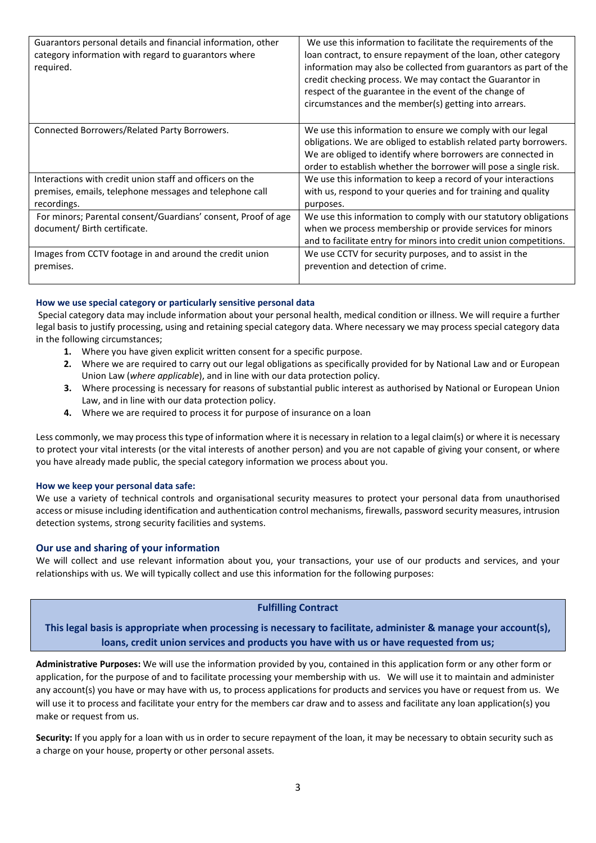| Guarantors personal details and financial information, other<br>category information with regard to guarantors where<br>required.  | We use this information to facilitate the requirements of the<br>loan contract, to ensure repayment of the loan, other category<br>information may also be collected from guarantors as part of the<br>credit checking process. We may contact the Guarantor in<br>respect of the guarantee in the event of the change of<br>circumstances and the member(s) getting into arrears. |
|------------------------------------------------------------------------------------------------------------------------------------|------------------------------------------------------------------------------------------------------------------------------------------------------------------------------------------------------------------------------------------------------------------------------------------------------------------------------------------------------------------------------------|
| Connected Borrowers/Related Party Borrowers.                                                                                       | We use this information to ensure we comply with our legal<br>obligations. We are obliged to establish related party borrowers.<br>We are obliged to identify where borrowers are connected in<br>order to establish whether the borrower will pose a single risk.                                                                                                                 |
| Interactions with credit union staff and officers on the<br>premises, emails, telephone messages and telephone call<br>recordings. | We use this information to keep a record of your interactions<br>with us, respond to your queries and for training and quality<br>purposes.                                                                                                                                                                                                                                        |
| For minors; Parental consent/Guardians' consent, Proof of age<br>document/ Birth certificate.                                      | We use this information to comply with our statutory obligations<br>when we process membership or provide services for minors<br>and to facilitate entry for minors into credit union competitions.                                                                                                                                                                                |
| Images from CCTV footage in and around the credit union<br>premises.                                                               | We use CCTV for security purposes, and to assist in the<br>prevention and detection of crime.                                                                                                                                                                                                                                                                                      |

#### **How we use special category or particularly sensitive personal data**

Special category data may include information about your personal health, medical condition or illness. We will require a further legal basis to justify processing, using and retaining special category data. Where necessary we may process special category data in the following circumstances;

- **1.** Where you have given explicit written consent for a specific purpose.
- **2.** Where we are required to carry out our legal obligations as specifically provided for by National Law and or European Union Law (*where applicable*), and in line with our data protection policy.
- **3.** Where processing is necessary for reasons of substantial public interest as authorised by National or European Union Law, and in line with our data protection policy.
- **4.** Where we are required to process it for purpose of insurance on a loan

Less commonly, we may process this type of information where it is necessary in relation to a legal claim(s) or where it is necessary to protect your vital interests (or the vital interests of another person) and you are not capable of giving your consent, or where you have already made public, the special category information we process about you.

#### **How we keep your personal data safe:**

We use a variety of technical controls and organisational security measures to protect your personal data from unauthorised access or misuse including identification and authentication control mechanisms, firewalls, password security measures, intrusion detection systems, strong security facilities and systems.

#### **Our use and sharing of your information**

We will collect and use relevant information about you, your transactions, your use of our products and services, and your relationships with us. We will typically collect and use this information for the following purposes:

## **Fulfilling Contract**

**This legal basis is appropriate when processing is necessary to facilitate, administer & manage your account(s), loans, credit union services and products you have with us or have requested from us;**

**Administrative Purposes:** We will use the information provided by you, contained in this application form or any other form or application, for the purpose of and to facilitate processing your membership with us. We will use it to maintain and administer any account(s) you have or may have with us, to process applications for products and services you have or request from us. We will use it to process and facilitate your entry for the members car draw and to assess and facilitate any loan application(s) you make or request from us.

**Security:** If you apply for a loan with us in order to secure repayment of the loan, it may be necessary to obtain security such as a charge on your house, property or other personal assets.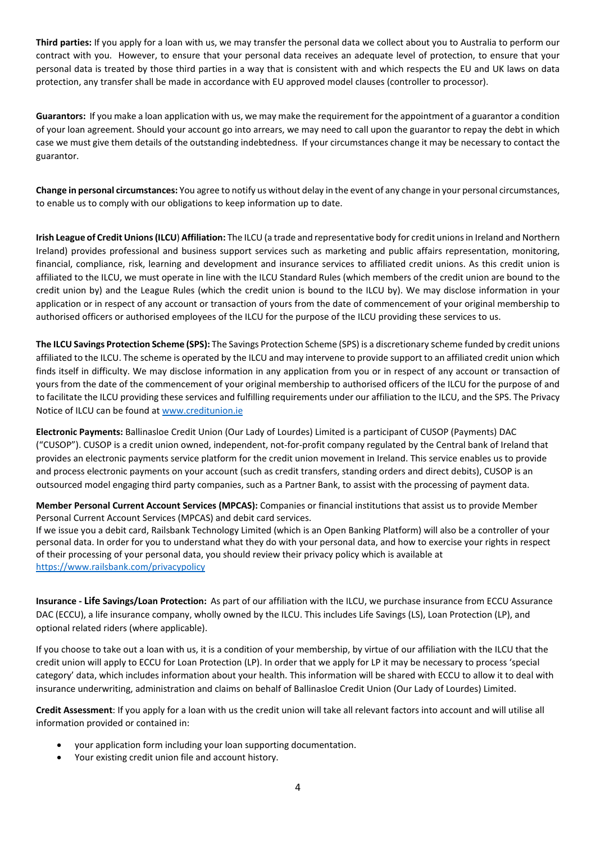**Third parties:** If you apply for a loan with us, we may transfer the personal data we collect about you to Australia to perform our contract with you. However, to ensure that your personal data receives an adequate level of protection, to ensure that your personal data is treated by those third parties in a way that is consistent with and which respects the EU and UK laws on data protection, any transfer shall be made in accordance with EU approved model clauses (controller to processor).

**Guarantors:** If you make a loan application with us, we may make the requirement for the appointment of a guarantor a condition of your loan agreement. Should your account go into arrears, we may need to call upon the guarantor to repay the debt in which case we must give them details of the outstanding indebtedness. If your circumstances change it may be necessary to contact the guarantor.

**Change in personal circumstances:** You agree to notify us without delay in the event of any change in your personal circumstances, to enable us to comply with our obligations to keep information up to date.

**Irish League of Credit Unions (ILCU**) **Affiliation:** The ILCU (a trade and representative body for credit unions in Ireland and Northern Ireland) provides professional and business support services such as marketing and public affairs representation, monitoring, financial, compliance, risk, learning and development and insurance services to affiliated credit unions. As this credit union is affiliated to the ILCU, we must operate in line with the ILCU Standard Rules (which members of the credit union are bound to the credit union by) and the League Rules (which the credit union is bound to the ILCU by). We may disclose information in your application or in respect of any account or transaction of yours from the date of commencement of your original membership to authorised officers or authorised employees of the ILCU for the purpose of the ILCU providing these services to us.

**The ILCU Savings Protection Scheme (SPS):** The Savings Protection Scheme (SPS) is a discretionary scheme funded by credit unions affiliated to the ILCU. The scheme is operated by the ILCU and may intervene to provide support to an affiliated credit union which finds itself in difficulty. We may disclose information in any application from you or in respect of any account or transaction of yours from the date of the commencement of your original membership to authorised officers of the ILCU for the purpose of and to facilitate the ILCU providing these services and fulfilling requirements under our affiliation to the ILCU, and the SPS. The Privacy Notice of ILCU can be found at [www.creditunion.ie](http://www.creditunion.ie/) 

**Electronic Payments:** Ballinasloe Credit Union (Our Lady of Lourdes) Limited is a participant of CUSOP (Payments) DAC ("CUSOP"). CUSOP is a credit union owned, independent, not-for-profit company regulated by the Central bank of Ireland that provides an electronic payments service platform for the credit union movement in Ireland. This service enables us to provide and process electronic payments on your account (such as credit transfers, standing orders and direct debits), CUSOP is an outsourced model engaging third party companies, such as a Partner Bank, to assist with the processing of payment data.

**Member Personal Current Account Services (MPCAS):** Companies or financial institutions that assist us to provide Member Personal Current Account Services (MPCAS) and debit card services.

If we issue you a debit card, Railsbank Technology Limited (which is an Open Banking Platform) will also be a controller of your personal data. In order for you to understand what they do with your personal data, and how to exercise your rights in respect of their processing of your personal data, you should review their privacy policy which is available at <https://www.railsbank.com/privacypolicy>

**Insurance - Life Savings/Loan Protection:** As part of our affiliation with the ILCU, we purchase insurance from ECCU Assurance DAC (ECCU), a life insurance company, wholly owned by the ILCU. This includes Life Savings (LS), Loan Protection (LP), and optional related riders (where applicable).

If you choose to take out a loan with us, it is a condition of your membership, by virtue of our affiliation with the ILCU that the credit union will apply to ECCU for Loan Protection (LP). In order that we apply for LP it may be necessary to process 'special category' data, which includes information about your health. This information will be shared with ECCU to allow it to deal with insurance underwriting, administration and claims on behalf of Ballinasloe Credit Union (Our Lady of Lourdes) Limited.

**Credit Assessment**: If you apply for a loan with us the credit union will take all relevant factors into account and will utilise all information provided or contained in:

- your application form including your loan supporting documentation.
- Your existing credit union file and account history.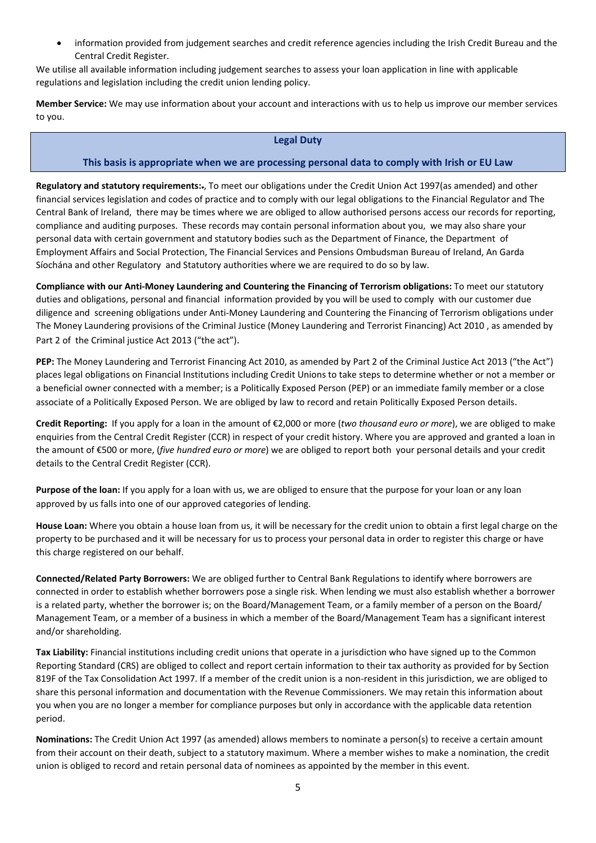• information provided from judgement searches and credit reference agencies including the Irish Credit Bureau and the Central Credit Register.

We utilise all available information including judgement searches to assess your loan application in line with applicable regulations and legislation including the credit union lending policy.

**Member Service:** We may use information about your account and interactions with us to help us improve our member services to you.

## **Legal Duty**

## **This basis is appropriate when we are processing personal data to comply with Irish or EU Law**

**Regulatory and statutory requirements:**., To meet our obligations under the Credit Union Act 1997(as amended) and other financial services legislation and codes of practice and to comply with our legal obligations to the Financial Regulator and The Central Bank of Ireland, there may be times where we are obliged to allow authorised persons access our records for reporting, compliance and auditing purposes. These records may contain personal information about you, we may also share your personal data with certain government and statutory bodies such as the Department of Finance, the Department of Employment Affairs and Social Protection, The Financial Services and Pensions Ombudsman Bureau of Ireland, An Garda Síochána and other Regulatory and Statutory authorities where we are required to do so by law.

**Compliance with our Anti-Money Laundering and Countering the Financing of Terrorism obligations:** To meet our statutory duties and obligations, personal and financial information provided by you will be used to comply with our customer due diligence and screening obligations under Anti-Money Laundering and Countering the Financing of Terrorism obligations under The Money Laundering provisions of the Criminal Justice (Money Laundering and Terrorist Financing) Act 2010 , as amended by Part 2 of the Criminal justice Act 2013 ("the act").

**PEP:** The Money Laundering and Terrorist Financing Act 2010, as amended by Part 2 of the Criminal Justice Act 2013 ("the Act") places legal obligations on Financial Institutions including Credit Unions to take steps to determine whether or not a member or a beneficial owner connected with a member; is a Politically Exposed Person (PEP) or an immediate family member or a close associate of a Politically Exposed Person. We are obliged by law to record and retain Politically Exposed Person details.

**Credit Reporting:** If you apply for a loan in the amount of €2,000 or more (*two thousand euro or more*), we are obliged to make enquiries from the Central Credit Register (CCR) in respect of your credit history. Where you are approved and granted a loan in the amount of €500 or more, (*five hundred euro or more*) we are obliged to report bothyour personal details and your credit details to the Central Credit Register (CCR).

**Purpose of the loan:** If you apply for a loan with us, we are obliged to ensure that the purpose for your loan or any loan approved by us falls into one of our approved categories of lending.

**House Loan:** Where you obtain a house loan from us, it will be necessary for the credit union to obtain a first legal charge on the property to be purchased and it will be necessary for us to process your personal data in order to register this charge or have this charge registered on our behalf.

**Connected/Related Party Borrowers:** We are obliged further to Central Bank Regulations to identify where borrowers are connected in order to establish whether borrowers pose a single risk. When lending we must also establish whether a borrower is a related party, whether the borrower is; on the Board/Management Team, or a family member of a person on the Board/ Management Team, or a member of a business in which a member of the Board/Management Team has a significant interest and/or shareholding.

**Tax Liability:** Financial institutions including credit unions that operate in a jurisdiction who have signed up to the Common Reporting Standard (CRS) are obliged to collect and report certain information to their tax authority as provided for by Section 819F of the Tax Consolidation Act 1997. If a member of the credit union is a non-resident in this jurisdiction, we are obliged to share this personal information and documentation with the Revenue Commissioners. We may retain this information about you when you are no longer a member for compliance purposes but only in accordance with the applicable data retention period.

**Nominations:** The Credit Union Act 1997 (as amended) allows members to nominate a person(s) to receive a certain amount from their account on their death, subject to a statutory maximum. Where a member wishes to make a nomination, the credit union is obliged to record and retain personal data of nominees as appointed by the member in this event.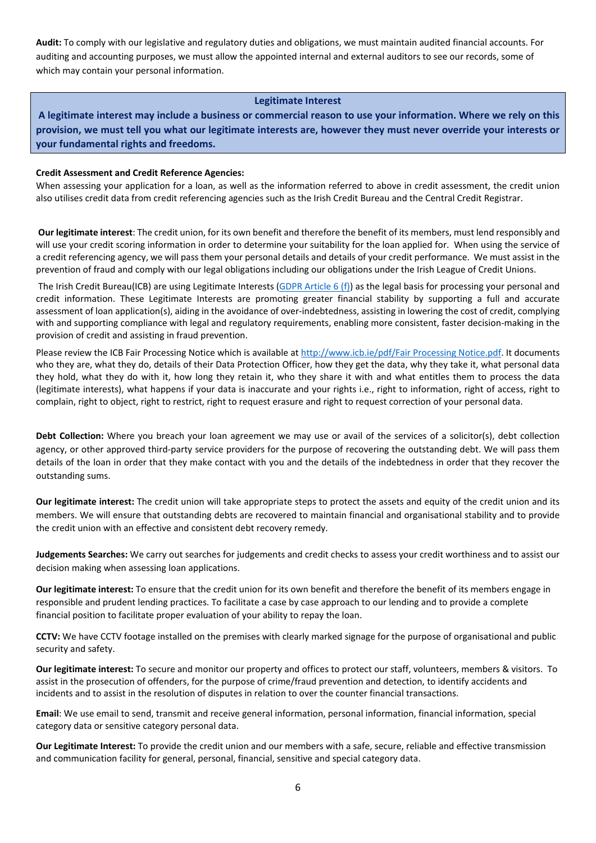**Audit:** To comply with our legislative and regulatory duties and obligations, we must maintain audited financial accounts. For auditing and accounting purposes, we must allow the appointed internal and external auditors to see our records, some of which may contain your personal information.

#### **Legitimate Interest**

**A legitimate interest may include a business or commercial reason to use your information. Where we rely on this provision, we must tell you what our legitimate interests are, however they must never override your interests or your fundamental rights and freedoms.**

#### **Credit Assessment and Credit Reference Agencies:**

When assessing your application for a loan, as well as the information referred to above in credit assessment, the credit union also utilises credit data from credit referencing agencies such as the Irish Credit Bureau and the Central Credit Registrar.

**Our legitimate interest**: The credit union, for its own benefit and therefore the benefit of its members, must lend responsibly and will use your credit scoring information in order to determine your suitability for the loan applied for. When using the service of a credit referencing agency, we will pass them your personal details and details of your credit performance. We must assist in the prevention of fraud and comply with our legal obligations including our obligations under the Irish League of Credit Unions.

The Irish Credit Bureau(ICB) are using Legitimate Interests [\(GDPR Article 6 \(f\)\)](https://scanmail.trustwave.com/?c=6600&d=x6y82twc0kKW5mgMlAlb4526oLiq--5jUgMCHmTQUw&s=58&u=https%3a%2f%2fgdpr-info%2eeu%2fart-6-gdpr%2f) as the legal basis for processing your personal and credit information. These Legitimate Interests are promoting greater financial stability by supporting a full and accurate assessment of loan application(s), aiding in the avoidance of over-indebtedness, assisting in lowering the cost of credit, complying with and supporting compliance with legal and regulatory requirements, enabling more consistent, faster decision-making in the provision of credit and assisting in fraud prevention.

Please review the ICB Fair Processing Notice which is available at [http://www.icb.ie/pdf/Fair Processing Notice.pdf.](http://scanmail.trustwave.com/?c=6600&d=x6y82twc0kKW5mgMlAlb4526oLiq--5jUgAMFWXQWg&s=58&u=http%3a%2f%2fwww%2eicb%2eie%2fpdf%2fFair%20Processing%20Notice%2epdf) It documents who they are, what they do, details of their Data Protection Officer, how they get the data, why they take it, what personal data they hold, what they do with it, how long they retain it, who they share it with and what entitles them to process the data (legitimate interests), what happens if your data is inaccurate and your rights i.e., right to information, right of access, right to complain, right to object, right to restrict, right to request erasure and right to request correction of your personal data.

**Debt Collection:** Where you breach your loan agreement we may use or avail of the services of a solicitor(s), debt collection agency, or other approved third-party service providers for the purpose of recovering the outstanding debt. We will pass them details of the loan in order that they make contact with you and the details of the indebtedness in order that they recover the outstanding sums.

**Our legitimate interest:** The credit union will take appropriate steps to protect the assets and equity of the credit union and its members. We will ensure that outstanding debts are recovered to maintain financial and organisational stability and to provide the credit union with an effective and consistent debt recovery remedy.

**Judgements Searches:** We carry out searches for judgements and credit checks to assess your credit worthiness and to assist our decision making when assessing loan applications.

**Our legitimate interest:** To ensure that the credit union for its own benefit and therefore the benefit of its members engage in responsible and prudent lending practices. To facilitate a case by case approach to our lending and to provide a complete financial position to facilitate proper evaluation of your ability to repay the loan.

**CCTV:** We have CCTV footage installed on the premises with clearly marked signage for the purpose of organisational and public security and safety.

**Our legitimate interest:** To secure and monitor our property and offices to protect our staff, volunteers, members & visitors. To assist in the prosecution of offenders, for the purpose of crime/fraud prevention and detection, to identify accidents and incidents and to assist in the resolution of disputes in relation to over the counter financial transactions.

**Email**: We use email to send, transmit and receive general information, personal information, financial information, special category data or sensitive category personal data.

**Our Legitimate Interest:** To provide the credit union and our members with a safe, secure, reliable and effective transmission and communication facility for general, personal, financial, sensitive and special category data.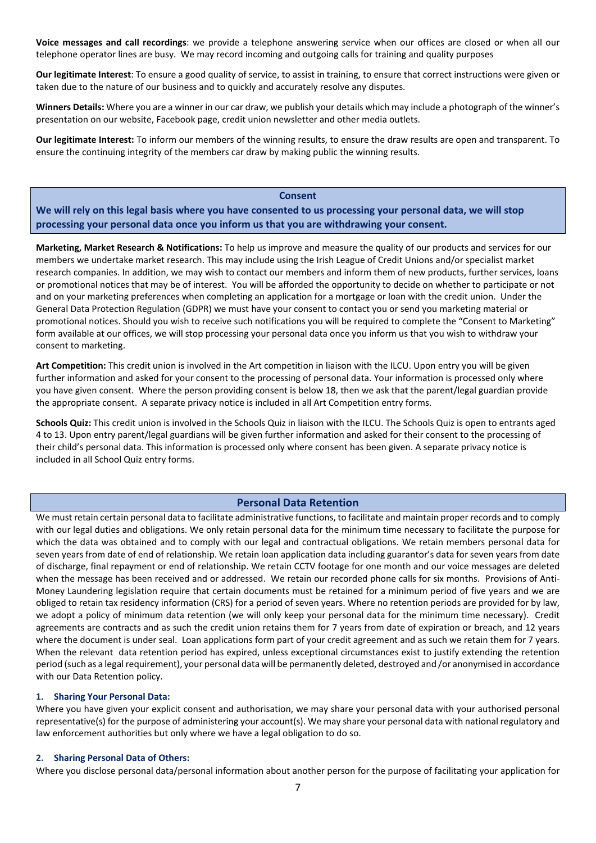**Voice messages and call recordings**: we provide a telephone answering service when our offices are closed or when all our telephone operator lines are busy. We may record incoming and outgoing calls for training and quality purposes

**Our legitimate Interest**: To ensure a good quality of service, to assist in training, to ensure that correct instructions were given or taken due to the nature of our business and to quickly and accurately resolve any disputes.

**Winners Details:** Where you are a winner in our car draw, we publish your details which may include a photograph of the winner's presentation on our website, Facebook page, credit union newsletter and other media outlets.

**Our legitimate Interest:** To inform our members of the winning results, to ensure the draw results are open and transparent. To ensure the continuing integrity of the members car draw by making public the winning results.

#### **Consent**

**We will rely on this legal basis where you have consented to us processing your personal data, we will stop processing your personal data once you inform us that you are withdrawing your consent.**

**Marketing, Market Research & Notifications:** To help us improve and measure the quality of our products and services for our members we undertake market research. This may include using the Irish League of Credit Unions and/or specialist market research companies. In addition, we may wish to contact our members and inform them of new products, further services, loans or promotional notices that may be of interest. You will be afforded the opportunity to decide on whether to participate or not and on your marketing preferences when completing an application for a mortgage or loan with the credit union. Under the General Data Protection Regulation (GDPR) we must have your consent to contact you or send you marketing material or promotional notices. Should you wish to receive such notifications you will be required to complete the "Consent to Marketing" form available at our offices, we will stop processing your personal data once you inform us that you wish to withdraw your consent to marketing.

**Art Competition:** This credit union is involved in the Art competition in liaison with the ILCU. Upon entry you will be given further information and asked for your consent to the processing of personal data. Your information is processed only where you have given consent. Where the person providing consent is below 18, then we ask that the parent/legal guardian provide the appropriate consent. A separate privacy notice is included in all Art Competition entry forms.

**Schools Quiz:** This credit union is involved in the Schools Quiz in liaison with the ILCU. The Schools Quiz is open to entrants aged 4 to 13. Upon entry parent/legal guardians will be given further information and asked for their consent to the processing of their child's personal data. This information is processed only where consent has been given. A separate privacy notice is included in all School Quiz entry forms.

#### **Personal Data Retention**

We must retain certain personal data to facilitate administrative functions, to facilitate and maintain proper records and to comply with our legal duties and obligations. We only retain personal data for the minimum time necessary to facilitate the purpose for which the data was obtained and to comply with our legal and contractual obligations. We retain members personal data for seven years from date of end of relationship. We retain loan application data including guarantor's data for seven years from date of discharge, final repayment or end of relationship. We retain CCTV footage for one month and our voice messages are deleted when the message has been received and or addressed. We retain our recorded phone calls for six months. Provisions of Anti-Money Laundering legislation require that certain documents must be retained for a minimum period of five years and we are obliged to retain tax residency information (CRS) for a period of seven years. Where no retention periods are provided for by law, we adopt a policy of minimum data retention (we will only keep your personal data for the minimum time necessary). Credit agreements are contracts and as such the credit union retains them for 7 years from date of expiration or breach, and 12 years where the document is under seal. Loan applications form part of your credit agreement and as such we retain them for 7 years. When the relevant data retention period has expired, unless exceptional circumstances exist to justify extending the retention period (such as a legal requirement), your personal data will be permanently deleted, destroyed and /or anonymised in accordance with our Data Retention policy.

#### **1. Sharing Your Personal Data:**

Where you have given your explicit consent and authorisation, we may share your personal data with your authorised personal representative(s) for the purpose of administering your account(s). We may share your personal data with national regulatory and law enforcement authorities but only where we have a legal obligation to do so.

#### **2. Sharing Personal Data of Others:**

Where you disclose personal data/personal information about another person for the purpose of facilitating your application for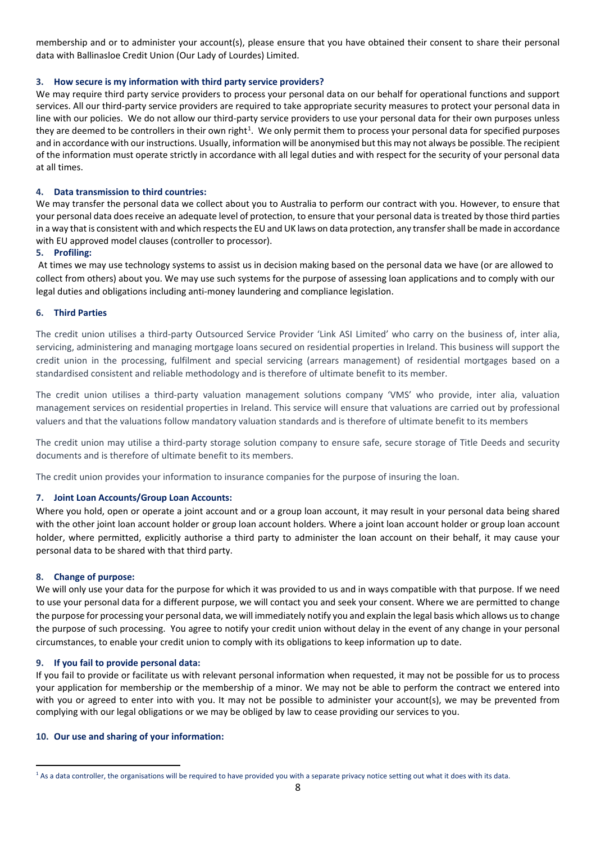membership and or to administer your account(s), please ensure that you have obtained their consent to share their personal data with Ballinasloe Credit Union (Our Lady of Lourdes) Limited.

#### **3. How secure is my information with third party service providers?**

We may require third party service providers to process your personal data on our behalf for operational functions and support services. All our third-party service providers are required to take appropriate security measures to protect your personal data in line with our policies. We do not allow our third-party service providers to use your personal data for their own purposes unless they are deemed to be controllers in their own right<sup>[1](#page-7-0)</sup>. We only permit them to process your personal data for specified purposes and in accordance with our instructions. Usually, information will be anonymised but this may not always be possible. The recipient of the information must operate strictly in accordance with all legal duties and with respect for the security of your personal data at all times.

#### **4. Data transmission to third countries:**

We may transfer the personal data we collect about you to Australia to perform our contract with you. However, to ensure that your personal data does receive an adequate level of protection, to ensure that your personal data is treated by those third parties in a way that is consistent with and which respects the EU and UK laws on data protection, any transfer shall be made in accordance with EU approved model clauses (controller to processor).

#### **5. Profiling:**

At times we may use technology systems to assist us in decision making based on the personal data we have (or are allowed to collect from others) about you. We may use such systems for the purpose of assessing loan applications and to comply with our legal duties and obligations including anti-money laundering and compliance legislation.

#### **6. Third Parties**

The credit union utilises a third-party Outsourced Service Provider 'Link ASI Limited' who carry on the business of, inter alia, servicing, administering and managing mortgage loans secured on residential properties in Ireland. This business will support the credit union in the processing, fulfilment and special servicing (arrears management) of residential mortgages based on a standardised consistent and reliable methodology and is therefore of ultimate benefit to its member.

The credit union utilises a third-party valuation management solutions company 'VMS' who provide, inter alia, valuation management services on residential properties in Ireland. This service will ensure that valuations are carried out by professional valuers and that the valuations follow mandatory valuation standards and is therefore of ultimate benefit to its members

The credit union may utilise a third-party storage solution company to ensure safe, secure storage of Title Deeds and security documents and is therefore of ultimate benefit to its members.

The credit union provides your information to insurance companies for the purpose of insuring the loan.

#### **7. Joint Loan Accounts/Group Loan Accounts:**

Where you hold, open or operate a joint account and or a group loan account, it may result in your personal data being shared with the other joint loan account holder or group loan account holders. Where a joint loan account holder or group loan account holder, where permitted, explicitly authorise a third party to administer the loan account on their behalf, it may cause your personal data to be shared with that third party.

#### **8. Change of purpose:**

<u>.</u>

We will only use your data for the purpose for which it was provided to us and in ways compatible with that purpose. If we need to use your personal data for a different purpose, we will contact you and seek your consent. Where we are permitted to change the purpose for processing your personal data, we will immediately notify you and explain the legal basis which allows us to change the purpose of such processing. You agree to notify your credit union without delay in the event of any change in your personal circumstances, to enable your credit union to comply with its obligations to keep information up to date.

#### **9. If you fail to provide personal data:**

If you fail to provide or facilitate us with relevant personal information when requested, it may not be possible for us to process your application for membership or the membership of a minor. We may not be able to perform the contract we entered into with you or agreed to enter into with you. It may not be possible to administer your account(s), we may be prevented from complying with our legal obligations or we may be obliged by law to cease providing our services to you.

#### **10. Our use and sharing of your information:**

<span id="page-7-0"></span> $1$  As a data controller, the organisations will be required to have provided you with a separate privacy notice setting out what it does with its data.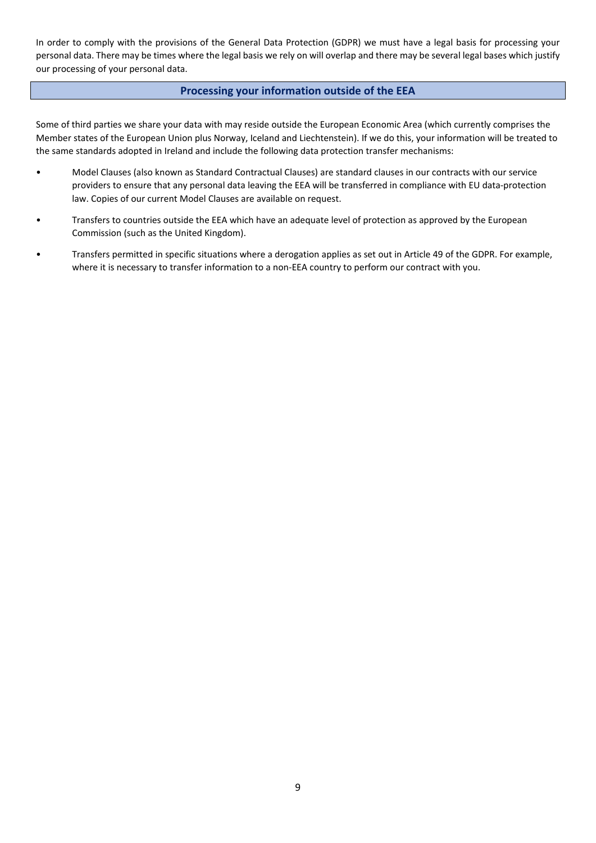In order to comply with the provisions of the General Data Protection (GDPR) we must have a legal basis for processing your personal data. There may be times where the legal basis we rely on will overlap and there may be several legal bases which justify our processing of your personal data.

## **Processing your information outside of the EEA**

Some of third parties we share your data with may reside outside the European Economic Area (which currently comprises the Member states of the European Union plus Norway, Iceland and Liechtenstein). If we do this, your information will be treated to the same standards adopted in Ireland and include the following data protection transfer mechanisms:

- Model Clauses (also known as Standard Contractual Clauses) are standard clauses in our contracts with our service providers to ensure that any personal data leaving the EEA will be transferred in compliance with EU data-protection law. Copies of our current Model Clauses are available on request.
- Transfers to countries outside the EEA which have an adequate level of protection as approved by the European Commission (such as the United Kingdom).
- Transfers permitted in specific situations where a derogation applies as set out in Article 49 of the GDPR. For example, where it is necessary to transfer information to a non-EEA country to perform our contract with you.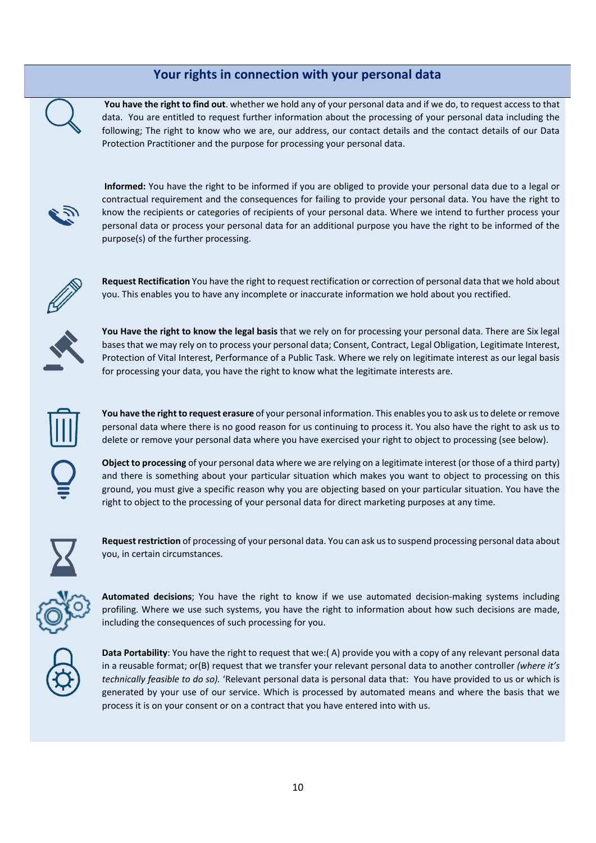## **Your rights in connection with your personal data**

**You have the right to find out**. whether we hold any of your personal data and if we do, to request access to that data. You are entitled to request further information about the processing of your personal data including the following; The right to know who we are, our address, our contact details and the contact details of our Data Protection Practitioner and the purpose for processing your personal data.



**Informed:** You have the right to be informed if you are obliged to provide your personal data due to a legal or contractual requirement and the consequences for failing to provide your personal data. You have the right to know the recipients or categories of recipients of your personal data. Where we intend to further process your personal data or process your personal data for an additional purpose you have the right to be informed of the purpose(s) of the further processing.



**Request Rectification** You have the right to request rectification or correction of personal data that we hold about you. This enables you to have any incomplete or inaccurate information we hold about you rectified.



**You Have the right to know the legal basis** that we rely on for processing your personal data. There are Six legal bases that we may rely on to process your personal data; Consent, Contract, Legal Obligation, Legitimate Interest, Protection of Vital Interest, Performance of a Public Task. Where we rely on legitimate interest as our legal basis for processing your data, you have the right to know what the legitimate interests are.



**You have the right to request erasure** of your personal information. This enables you to ask us to delete or remove personal data where there is no good reason for us continuing to process it. You also have the right to ask us to delete or remove your personal data where you have exercised your right to object to processing (see below).

**Object to processing** of your personal data where we are relying on a legitimate interest (or those of a third party) and there is something about your particular situation which makes you want to object to processing on this ground, you must give a specific reason why you are objecting based on your particular situation. You have the right to object to the processing of your personal data for direct marketing purposes at any time.



**Request restriction** of processing of your personal data. You can ask us to suspend processing personal data about you, in certain circumstances.



**Automated decisions**; You have the right to know if we use automated decision-making systems including profiling. Where we use such systems, you have the right to information about how such decisions are made, including the consequences of such processing for you.



**Data Portability**: You have the right to request that we:( A) provide you with a copy of any relevant personal data in a reusable format; or(B) request that we transfer your relevant personal data to another controller *(where it's technically feasible to do so).* 'Relevant personal data is personal data that: You have provided to us or which is generated by your use of our service. Which is processed by automated means and where the basis that we process it is on your consent or on a contract that you have entered into with us.